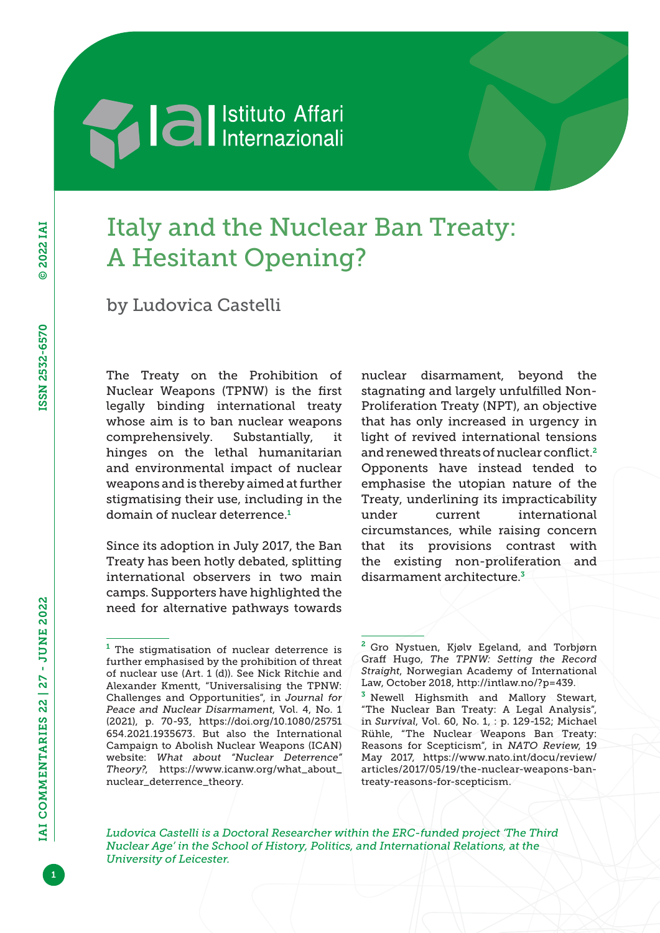## **Sales Service Service Service Service Affari**

## Italy and the Nuclear Ban Treaty: A Hesitant Opening?

by Ludovica Castelli

The Treaty on the Prohibition of Nuclear Weapons (TPNW) is the first legally binding international treaty whose aim is to ban nuclear weapons comprehensively. Substantially, it hinges on the lethal humanitarian and environmental impact of nuclear weapons and is thereby aimed at further stigmatising their use, including in the domain of nuclear deterrence.<sup>1</sup>

Since its adoption in July 2017, the Ban Treaty has been hotly debated, splitting international observers in two main camps. Supporters have highlighted the need for alternative pathways towards

nuclear disarmament, beyond the stagnating and largely unfulfilled Non-Proliferation Treaty (NPT), an objective that has only increased in urgency in light of revived international tensions and renewed threats of nuclear conflict.<sup>2</sup> Opponents have instead tended to emphasise the utopian nature of the Treaty, underlining its impracticability under current international circumstances, while raising concern that its provisions contrast with the existing non-proliferation and disarmament architecture.<sup>3</sup>

*Ludovica Castelli is a Doctoral Researcher within the ERC-funded project 'The Third Nuclear Age' in the School of History, Politics, and International Relations, at the University of Leicester.*

 $1$  The stigmatisation of nuclear deterrence is further emphasised by the prohibition of threat of nuclear use (Art. 1 (d)). See Nick Ritchie and Alexander Kmentt, "Universalising the TPNW: Challenges and Opportunities", in *Journal for Peace and Nuclear Disarmament*, Vol. 4, No. 1 (2021), p. 70-93, [https://doi.org/10.1080/25751](https://doi.org/10.1080/25751654.2021.1935673) [654.2021.1935673.](https://doi.org/10.1080/25751654.2021.1935673) But also the International Campaign to Abolish Nuclear Weapons (ICAN) website: *What about "Nuclear Deterrence" Theory?*, [https://www.icanw.org/what\\_about\\_](https://www.icanw.org/what_about_nuclear_deterrence_theory) [nuclear\\_deterrence\\_theory](https://www.icanw.org/what_about_nuclear_deterrence_theory).

<sup>&</sup>lt;sup>2</sup> Gro Nystuen, Kjølv Egeland, and Torbjørn Graff Hugo, *The TPNW: Setting the Record Straight*, Norwegian Academy of International Law, October 2018, [http://intlaw.no/?p=439.](http://intlaw.no/?p=439)

<sup>&</sup>lt;sup>3</sup> Newell Highsmith and Mallory Stewart, "The Nuclear Ban Treaty: A Legal Analysis", in *Survival*, Vol. 60, No. 1, : p. 129-152; Michael Rühle, "The Nuclear Weapons Ban Treaty: Reasons for Scepticism", in *NATO Review*, 19 May 2017, [https://www.nato.int/docu/review/](https://www.nato.int/docu/review/articles/2017/05/19/the-nuclear-weapons-ban-treaty-reasons-for-scepticism) [articles/2017/05/19/the-nuclear-weapons-ban](https://www.nato.int/docu/review/articles/2017/05/19/the-nuclear-weapons-ban-treaty-reasons-for-scepticism)[treaty-reasons-for-scepticism.](https://www.nato.int/docu/review/articles/2017/05/19/the-nuclear-weapons-ban-treaty-reasons-for-scepticism)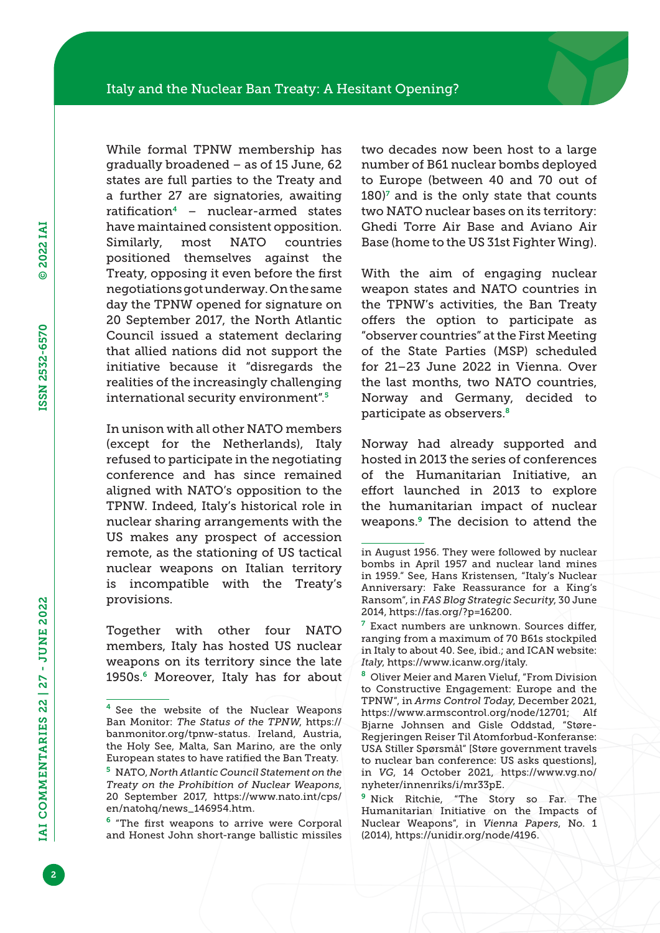While formal TPNW membership has gradually broadened – as of 15 June, 62 states are full parties to the Treaty and a further 27 are signatories, awaiting ratification<sup>4</sup> – nuclear-armed states have maintained consistent opposition. Similarly, most NATO countries positioned themselves against the Treaty, opposing it even before the first negotiations got underway. On the same day the TPNW opened for signature on 20 September 2017, the North Atlantic Council issued a statement declaring that allied nations did not support the initiative because it "disregards the realities of the increasingly challenging international security environment".<sup>5</sup>

In unison with all other NATO members (except for the Netherlands), Italy refused to participate in the negotiating conference and has since remained aligned with NATO's opposition to the TPNW. Indeed, Italy's historical role in nuclear sharing arrangements with the US makes any prospect of accession remote, as the stationing of US tactical nuclear weapons on Italian territory is incompatible with the Treaty's provisions.

Together with other four NATO members, Italy has hosted US nuclear weapons on its territory since the late 1950s.6 Moreover, Italy has for about

[en/natohq/news\\_146954.htm.](https://www.nato.int/cps/en/natohq/news_146954.htm)

two decades now been host to a large number of B61 nuclear bombs deployed to Europe (between 40 and 70 out of  $180$ <sup> $\text{7}$ </sup> and is the only state that counts two NATO nuclear bases on its territory: Ghedi Torre Air Base and Aviano Air Base (home to the US 31st Fighter Wing).

With the aim of engaging nuclear weapon states and NATO countries in the TPNW's activities, the Ban Treaty offers the option to participate as "observer countries" at the First Meeting of the State Parties (MSP) scheduled for 21–23 June 2022 in Vienna. Over the last months, two NATO countries, Norway and Germany, decided to participate as observers.<sup>8</sup>

Norway had already supported and hosted in 2013 the series of conferences of the Humanitarian Initiative, an effort launched in 2013 to explore the humanitarian impact of nuclear weapons.9 The decision to attend the

<sup>7</sup> Exact numbers are unknown. Sources differ, ranging from a maximum of 70 B61s stockpiled in Italy to about 40. See, ibid.; and ICAN website: *Italy*, [https://www.icanw.org/italy.](https://www.icanw.org/italy)

<sup>8</sup> Oliver Meier and Maren Vieluf, "From Division to Constructive Engagement: Europe and the TPNW", in *Arms Control Today*, December 2021, <https://www.armscontrol.org/node/12701>; Alf Bjarne Johnsen and Gisle Oddstad, "Støre-Regjeringen Reiser Til Atomforbud-Konferanse: USA Stiller Spørsmål" [Støre government travels to nuclear ban conference: US asks questions], in *VG*, 14 October 2021, [https://www.vg.no/](https://www.vg.no/nyheter/innenriks/i/mr33pE) [nyheter/innenriks/i/mr33pE.](https://www.vg.no/nyheter/innenriks/i/mr33pE)

<sup>9</sup> Nick Ritchie, "The Story so Far. The Humanitarian Initiative on the Impacts of Nuclear Weapons", in *Vienna Papers*, No. 1 (2014), <https://unidir.org/node/4196>.

<sup>&</sup>lt;sup>4</sup> See the website of the Nuclear Weapons Ban Monitor: *The Status of the TPNW*, [https://](https://banmonitor.org/tpnw-status) [banmonitor.org/tpnw-status.](https://banmonitor.org/tpnw-status) Ireland, Austria, the Holy See, Malta, San Marino, are the only European states to have ratified the Ban Treaty. <sup>5</sup> NATO, *North Atlantic Council Statement on the Treaty on the Prohibition of Nuclear Weapons*, 20 September 2017, [https://www.nato.int/cps/](https://www.nato.int/cps/en/natohq/news_146954.htm)

<sup>6</sup> "The first weapons to arrive were Corporal and Honest John short-range ballistic missiles

in August 1956. They were followed by nuclear bombs in April 1957 and nuclear land mines in 1959." See, Hans Kristensen, "Italy's Nuclear Anniversary: Fake Reassurance for a King's Ransom", in *FAS Blog Strategic Security*, 30 June 2014, [https://fas.org/?p=16200.](https://fas.org/?p=16200)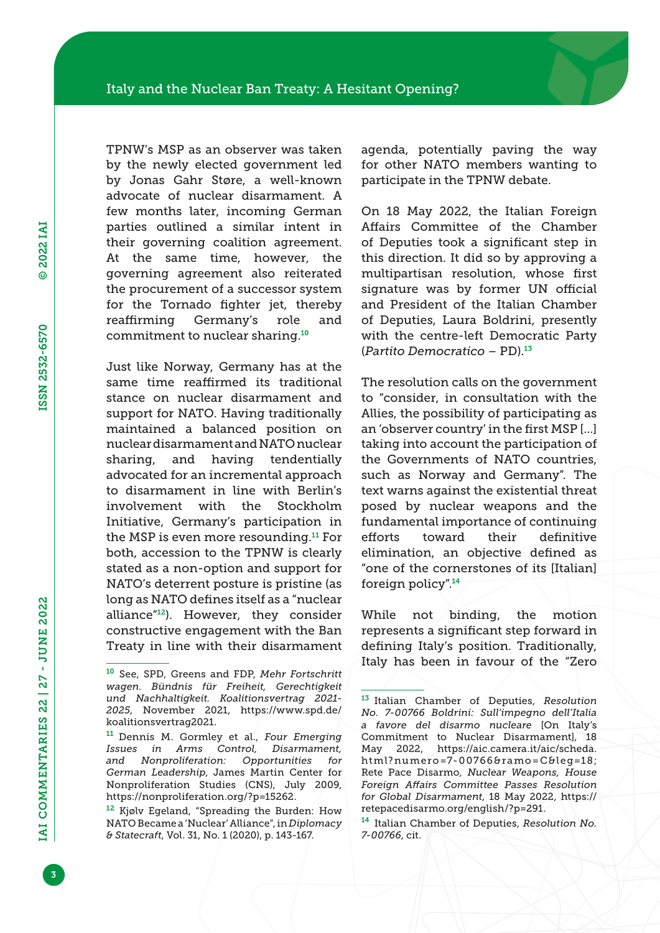TPNW's MSP as an observer was taken by the newly elected government led by Jonas Gahr Støre, a well-known advocate of nuclear disarmament. A few months later, incoming German parties outlined a similar intent in their governing coalition agreement. At the same time, however, the governing agreement also reiterated the procurement of a successor system for the Tornado fighter jet, thereby reaffirming Germany's role and commitment to nuclear sharing.<sup>10</sup>

Just like Norway, Germany has at the same time reaffirmed its traditional stance on nuclear disarmament and support for NATO. Having traditionally maintained a balanced position on nuclear disarmament and NATO nuclear sharing, and having tendentially advocated for an incremental approach to disarmament in line with Berlin's involvement with the Stockholm Initiative, Germany's participation in the MSP is even more resounding.11 For both, accession to the TPNW is clearly stated as a non-option and support for NATO's deterrent posture is pristine (as long as NATO defines itself as a "nuclear alliance"12). However, they consider constructive engagement with the Ban Treaty in line with their disarmament

agenda, potentially paving the way for other NATO members wanting to participate in the TPNW debate.

On 18 May 2022, the Italian Foreign Affairs Committee of the Chamber of Deputies took a significant step in this direction. It did so by approving a multipartisan resolution, whose first signature was by former UN official and President of the Italian Chamber of Deputies, Laura Boldrini, presently with the centre-left Democratic Party (*Partito Democratico* – PD).<sup>13</sup>

The resolution calls on the government to "consider, in consultation with the Allies, the possibility of participating as an 'observer country' in the first MSP […] taking into account the participation of the Governments of NATO countries, such as Norway and Germany". The text warns against the existential threat posed by nuclear weapons and the fundamental importance of continuing efforts toward their definitive elimination, an objective defined as "one of the cornerstones of its [Italian] foreign policy".<sup>14</sup>

While not binding, the motion represents a significant step forward in defining Italy's position. Traditionally, Italy has been in favour of the "Zero

<sup>10</sup> See, SPD, Greens and FDP, *Mehr Fortschritt wagen. Bündnis für Freiheit, Gerechtigkeit und Nachhaltigkeit. Koalitionsvertrag 2021- 2025*, November 2021, [https://www.spd.de/](https://www.spd.de/koalitionsvertrag2021) [koalitionsvertrag2021](https://www.spd.de/koalitionsvertrag2021).

<sup>11</sup> Dennis M. Gormley et al., *Four Emerging Issues in Arms Control, Disarmament, and Nonproliferation: Opportunities for German Leadership*, James Martin Center for Nonproliferation Studies (CNS), July 2009, [https://nonproliferation.org/?p=15262.](https://nonproliferation.org/?p=15262)

<sup>12</sup> Kjølv Egeland, "Spreading the Burden: How NATO Became a 'Nuclear' Alliance", in *Diplomacy & Statecraft*, Vol. 31, No. 1 (2020), p. 143-167.

<sup>13</sup> Italian Chamber of Deputies, *Resolution No. 7-00766 Boldrini: Sull'impegno dell'Italia a favore del disarmo nucleare* [On Italy's Commitment to Nuclear Disarmament], 18 May 2022, [https://aic.camera.it/aic/scheda.](https://aic.camera.it/aic/scheda.html?numero=7-00766&ramo=C&leg=18) [html?numero=7-00766&ramo=C&leg=18;](https://aic.camera.it/aic/scheda.html?numero=7-00766&ramo=C&leg=18) Rete Pace Disarmo, *Nuclear Weapons, House Foreign Affairs Committee Passes Resolution for Global Disarmament*, 18 May 2022, [https://](https://retepacedisarmo.org/english/?p=291) [retepacedisarmo.org/english/?p=291.](https://retepacedisarmo.org/english/?p=291)

<sup>14</sup> Italian Chamber of Deputies, *Resolution No. 7-00766*, cit.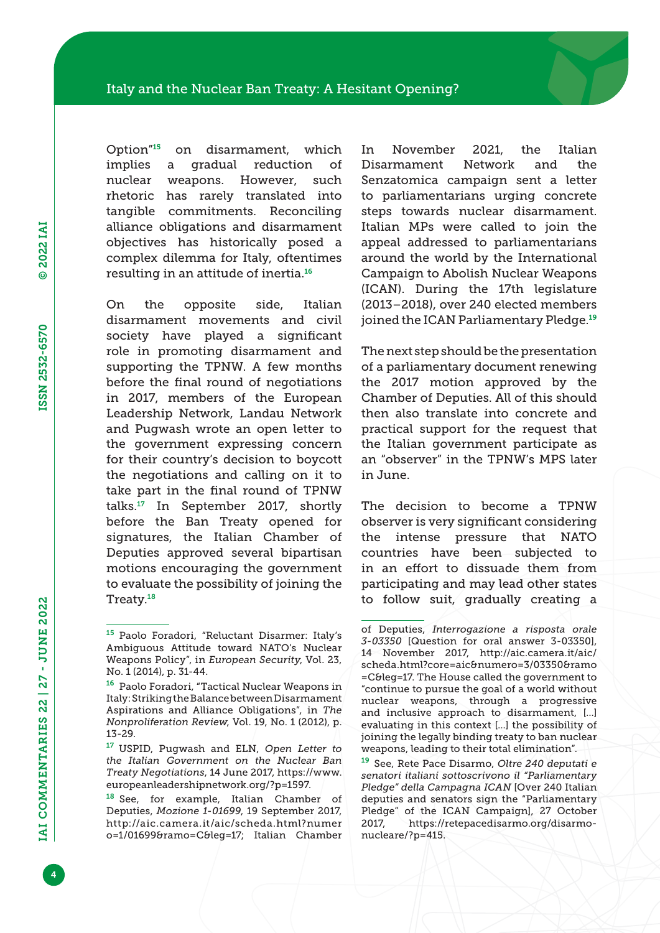Option"15 on disarmament, which implies a gradual reduction of nuclear weapons. However, such rhetoric has rarely translated into tangible commitments. Reconciling alliance obligations and disarmament objectives has historically posed a complex dilemma for Italy, oftentimes resulting in an attitude of inertia.<sup>16</sup>

On the opposite side, Italian disarmament movements and civil society have played a significant role in promoting disarmament and supporting the TPNW. A few months before the final round of negotiations in 2017, members of the European Leadership Network, Landau Network and Pugwash wrote an open letter to the government expressing concern for their country's decision to boycott the negotiations and calling on it to take part in the final round of TPNW talks.17 In September 2017, shortly before the Ban Treaty opened for signatures, the Italian Chamber of Deputies approved several bipartisan motions encouraging the government to evaluate the possibility of joining the Treaty.<sup>18</sup>

In November 2021, the Italian Disarmament Network and the Senzatomica campaign sent a letter to parliamentarians urging concrete steps towards nuclear disarmament. Italian MPs were called to join the appeal addressed to parliamentarians around the world by the International Campaign to Abolish Nuclear Weapons (ICAN). During the 17th legislature (2013–2018), over 240 elected members joined the ICAN Parliamentary Pledge.<sup>19</sup>

The next step should be the presentation of a parliamentary document renewing the 2017 motion approved by the Chamber of Deputies. All of this should then also translate into concrete and practical support for the request that the Italian government participate as an "observer" in the TPNW's MPS later in June.

The decision to become a TPNW observer is very significant considering the intense pressure that NATO countries have been subjected to in an effort to dissuade them from participating and may lead other states to follow suit, gradually creating a

<sup>19</sup> See, Rete Pace Disarmo, *Oltre 240 deputati e senatori italiani sottoscrivono il "Parliamentary Pledge" della Campagna ICAN* [Over 240 Italian deputies and senators sign the "Parliamentary Pledge" of the ICAN Campaign], 27 October 2017, [https://retepacedisarmo.org/disarmo](https://retepacedisarmo.org/disarmo-nucleare/?p=415)[nucleare/?p=415.](https://retepacedisarmo.org/disarmo-nucleare/?p=415)

<sup>15</sup> Paolo Foradori, "Reluctant Disarmer: Italy's Ambiguous Attitude toward NATO's Nuclear Weapons Policy", in *European Security*, Vol. 23, No. 1 (2014), p. 31-44.

<sup>16</sup> Paolo Foradori, "Tactical Nuclear Weapons in Italy: Striking the Balance between Disarmament Aspirations and Alliance Obligations", in *The Nonproliferation Review*, Vol. 19, No. 1 (2012), p. 13-29.

<sup>17</sup> USPID, Pugwash and ELN, *Open Letter to the Italian Government on the Nuclear Ban Treaty Negotiations*, 14 June 2017, [https://www.](https://www.europeanleadershipnetwork.org/?p=1597) [europeanleadershipnetwork.org/?p=1597.](https://www.europeanleadershipnetwork.org/?p=1597)

<sup>18</sup> See, for example, Italian Chamber of Deputies, *Mozione 1-01699*, 19 September 2017, [http://aic.camera.it/aic/scheda.html?numer](http://aic.camera.it/aic/scheda.html?numero=1/01699&ramo=C&leg=17) [o=1/01699&ramo=C&leg=17;](http://aic.camera.it/aic/scheda.html?numero=1/01699&ramo=C&leg=17) Italian Chamber

of Deputies, *Interrogazione a risposta orale 3-03350* [Question for oral answer 3-03350], 14 November 2017, [http://aic.camera.it/aic/](http://aic.camera.it/aic/scheda.html?core=aic&numero=3/03350&ramo=C&leg=17) [scheda.html?core=aic&numero=3/03350&ramo](http://aic.camera.it/aic/scheda.html?core=aic&numero=3/03350&ramo=C&leg=17) [=C&leg=17.](http://aic.camera.it/aic/scheda.html?core=aic&numero=3/03350&ramo=C&leg=17) The House called the government to "continue to pursue the goal of a world without nuclear weapons, through a progressive and inclusive approach to disarmament, […] evaluating in this context […] the possibility of joining the legally binding treaty to ban nuclear weapons, leading to their total elimination".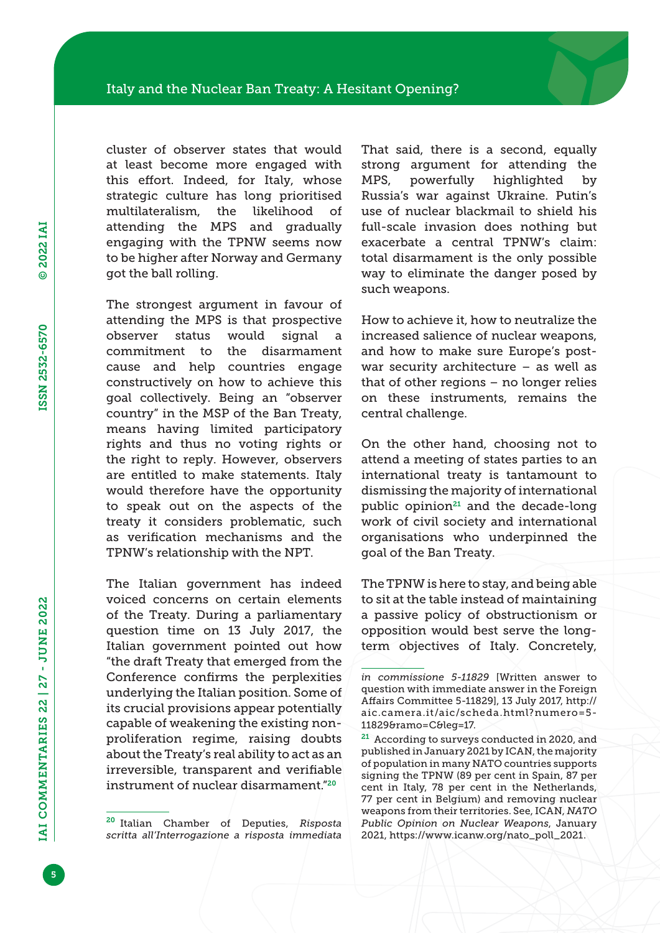cluster of observer states that would at least become more engaged with this effort. Indeed, for Italy, whose strategic culture has long prioritised multilateralism, the likelihood of attending the MPS and gradually engaging with the TPNW seems now to be higher after Norway and Germany got the ball rolling.

The strongest argument in favour of attending the MPS is that prospective observer status would signal a commitment to the disarmament cause and help countries engage constructively on how to achieve this goal collectively. Being an "observer country" in the MSP of the Ban Treaty, means having limited participatory rights and thus no voting rights or the right to reply. However, observers are entitled to make statements. Italy would therefore have the opportunity to speak out on the aspects of the treaty it considers problematic, such as verification mechanisms and the TPNW's relationship with the NPT.

The Italian government has indeed voiced concerns on certain elements of the Treaty. During a parliamentary question time on 13 July 2017, the Italian government pointed out how "the draft Treaty that emerged from the Conference confirms the perplexities underlying the Italian position. Some of its crucial provisions appear potentially capable of weakening the existing nonproliferation regime, raising doubts about the Treaty's real ability to act as an irreversible, transparent and verifiable instrument of nuclear disarmament."<sup>20</sup>

That said, there is a second, equally strong argument for attending the MPS, powerfully highlighted by Russia's war against Ukraine. Putin's use of nuclear blackmail to shield his full-scale invasion does nothing but exacerbate a central TPNW's claim: total disarmament is the only possible way to eliminate the danger posed by such weapons.

How to achieve it, how to neutralize the increased salience of nuclear weapons, and how to make sure Europe's postwar security architecture – as well as that of other regions – no longer relies on these instruments, remains the central challenge.

On the other hand, choosing not to attend a meeting of states parties to an international treaty is tantamount to dismissing the majority of international public opinion $21$  and the decade-long work of civil society and international organisations who underpinned the goal of the Ban Treaty.

The TPNW is here to stay, and being able to sit at the table instead of maintaining a passive policy of obstructionism or opposition would best serve the longterm objectives of Italy. Concretely,

<sup>20</sup> Italian Chamber of Deputies, *Risposta scritta all'Interrogazione a risposta immediata* 

*in commissione 5-11829* [Written answer to question with immediate answer in the Foreign Affairs Committee 5-11829], 13 July 2017, [http://](http://aic.camera.it/aic/scheda.html?numero=5-11829&ramo=C&leg=17) [aic.camera.it/aic/scheda.html?numero=5-](http://aic.camera.it/aic/scheda.html?numero=5-11829&ramo=C&leg=17) [11829&ramo=C&leg=17.](http://aic.camera.it/aic/scheda.html?numero=5-11829&ramo=C&leg=17)

<sup>&</sup>lt;sup>21</sup> According to surveys conducted in 2020, and published in January 2021 by ICAN, the majority of population in many NATO countries supports signing the TPNW (89 per cent in Spain, 87 per cent in Italy, 78 per cent in the Netherlands, 77 per cent in Belgium) and removing nuclear weapons from their territories. See, ICAN, *NATO Public Opinion on Nuclear Weapons*, January 2021, [https://www.icanw.org/nato\\_poll\\_2021](https://www.icanw.org/nato_poll_2021).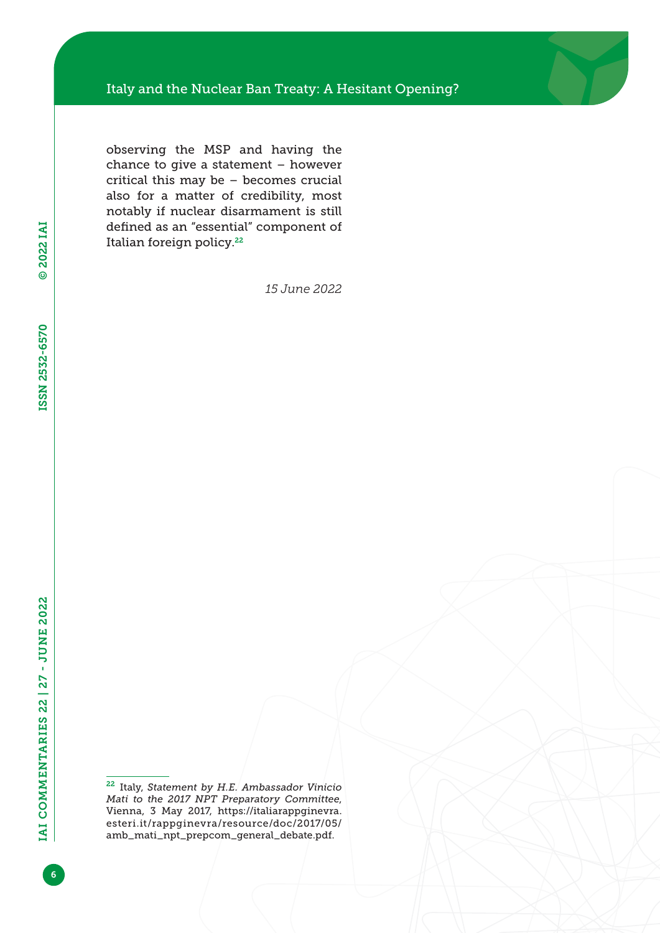observing the MSP and having the chance to give a statement – however critical this may be – becomes crucial also for a matter of credibility, most notably if nuclear disarmament is still defined as an "essential" component of Italian foreign policy.<sup>22</sup>

*15 June 2022*

<sup>22</sup> Italy, *Statement by H.E. Ambassador Vinicio Mati to the 2017 NPT Preparatory Committee*, Vienna, 3 May 2017, [https://italiarappginevra.](https://italiarappginevra.esteri.it/rappginevra/resource/doc/2017/05/amb_mati_npt_prepcom_general_debate.pdf) [esteri.it/rappginevra/resource/doc/2017/05/](https://italiarappginevra.esteri.it/rappginevra/resource/doc/2017/05/amb_mati_npt_prepcom_general_debate.pdf) [amb\\_mati\\_npt\\_prepcom\\_general\\_debate.pdf.](https://italiarappginevra.esteri.it/rappginevra/resource/doc/2017/05/amb_mati_npt_prepcom_general_debate.pdf)